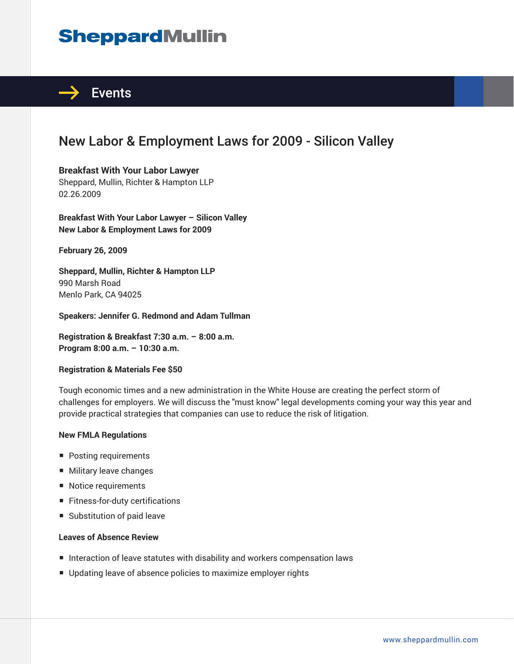# **SheppardMullin**



## New Labor & Employment Laws for 2009 - Silicon Valley

**Breakfast With Your Labor Lawyer** Sheppard, Mullin, Richter & Hampton LLP 02.26.2009

**Breakfast With Your Labor Lawyer – Silicon Valley New Labor & Employment Laws for 2009**

**February 26, 2009** 

**Sheppard, Mullin, Richter & Hampton LLP** 990 Marsh Road Menlo Park, CA 94025

**Speakers: Jennifer G. Redmond and Adam Tullman**

**Registration & Breakfast 7:30 a.m. – 8:00 a.m. Program 8:00 a.m. – 10:30 a.m.**

#### **Registration & Materials Fee \$50**

Tough economic times and a new administration in the White House are creating the perfect storm of challenges for employers. We will discuss the "must know" legal developments coming your way this year and provide practical strategies that companies can use to reduce the risk of litigation.

#### **New FMLA Regulations**

- Posting requirements
- Military leave changes
- Notice requirements
- Fitness-for-duty certifications
- Substitution of paid leave

#### **Leaves of Absence Review**

- Interaction of leave statutes with disability and workers compensation laws
- Updating leave of absence policies to maximize employer rights